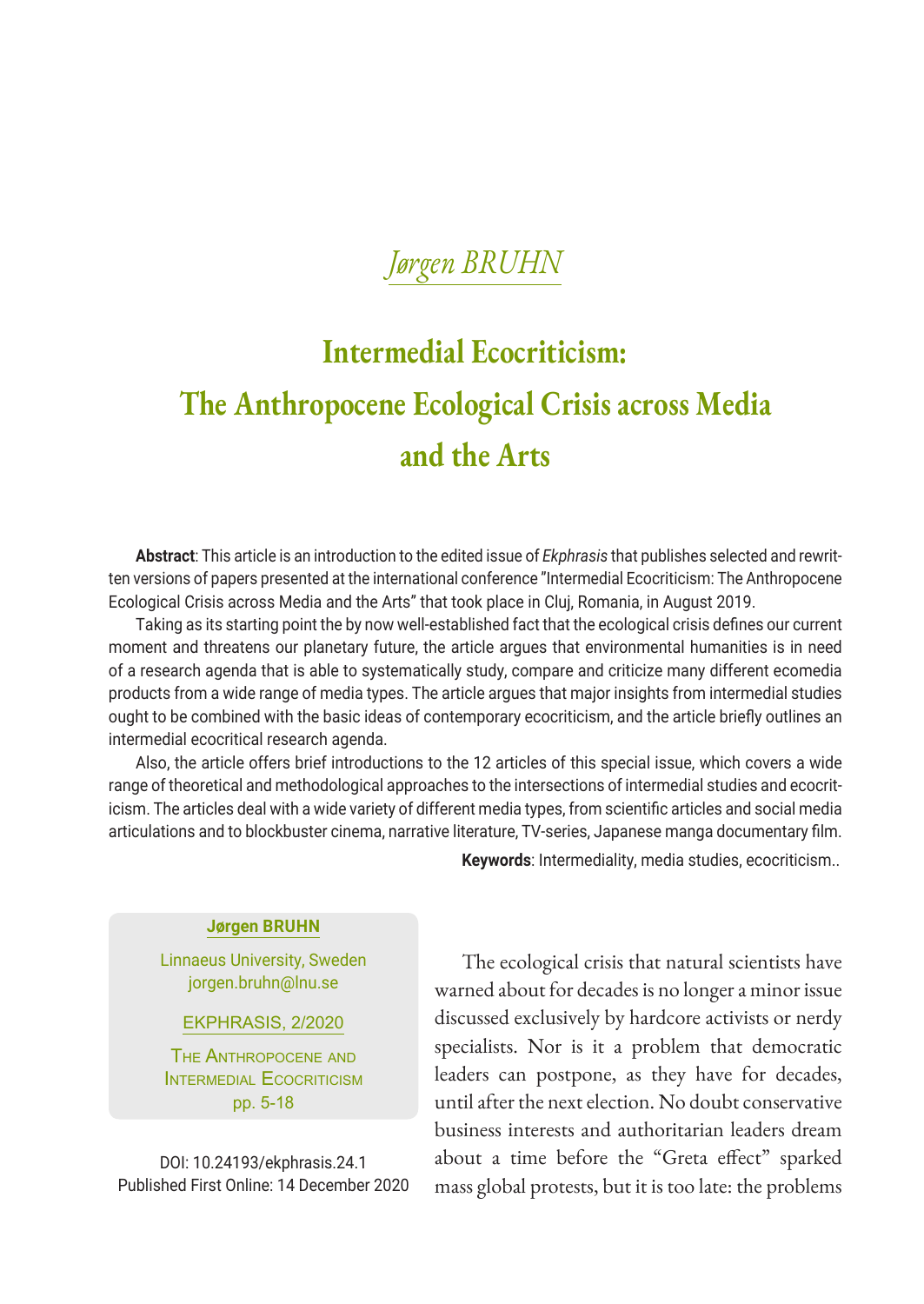# **Intermedial Ecocriticism: The Anthropocene Ecological Crisis across Media and the Arts**

**Abstract**: This article is an introduction to the edited issue of *Ekphrasis* that publishes selected and rewritten versions of papers presented at the international conference "Intermedial Ecocriticism: The Anthropocene Ecological Crisis across Media and the Arts" that took place in Cluj, Romania, in August 2019.

Taking as its starting point the by now well-established fact that the ecological crisis defines our current moment and threatens our planetary future, the article argues that environmental humanities is in need of a research agenda that is able to systematically study, compare and criticize many different ecomedia products from a wide range of media types. The article argues that major insights from intermedial studies ought to be combined with the basic ideas of contemporary ecocriticism, and the article briefly outlines an intermedial ecocritical research agenda.

Also, the article offers brief introductions to the 12 articles of this special issue, which covers a wide range of theoretical and methodological approaches to the intersections of intermedial studies and ecocriticism. The articles deal with a wide variety of different media types, from scientific articles and social media articulations and to blockbuster cinema, narrative literature, TV-series, Japanese manga documentary film.

### **Jørgen BRUHN**

Linnaeus University, Sweden jorgen.bruhn@lnu.se

EKPHRASIS, 2/2020

The Anthropocene and INTERMEDIAL ECOCRITICISM pp. 5-18

DOI: 10.24193/ekphrasis.24.1 Published First Online: 14 December 2020 **Keywords**: Intermediality, media studies, ecocriticism..

The ecological crisis that natural scientists have warned about for decades is no longer a minor issue discussed exclusively by hardcore activists or nerdy specialists. Nor is it a problem that democratic leaders can postpone, as they have for decades, until after the next election. No doubt conservative business interests and authoritarian leaders dream about a time before the "Greta effect" sparked mass global protests, but it is too late: the problems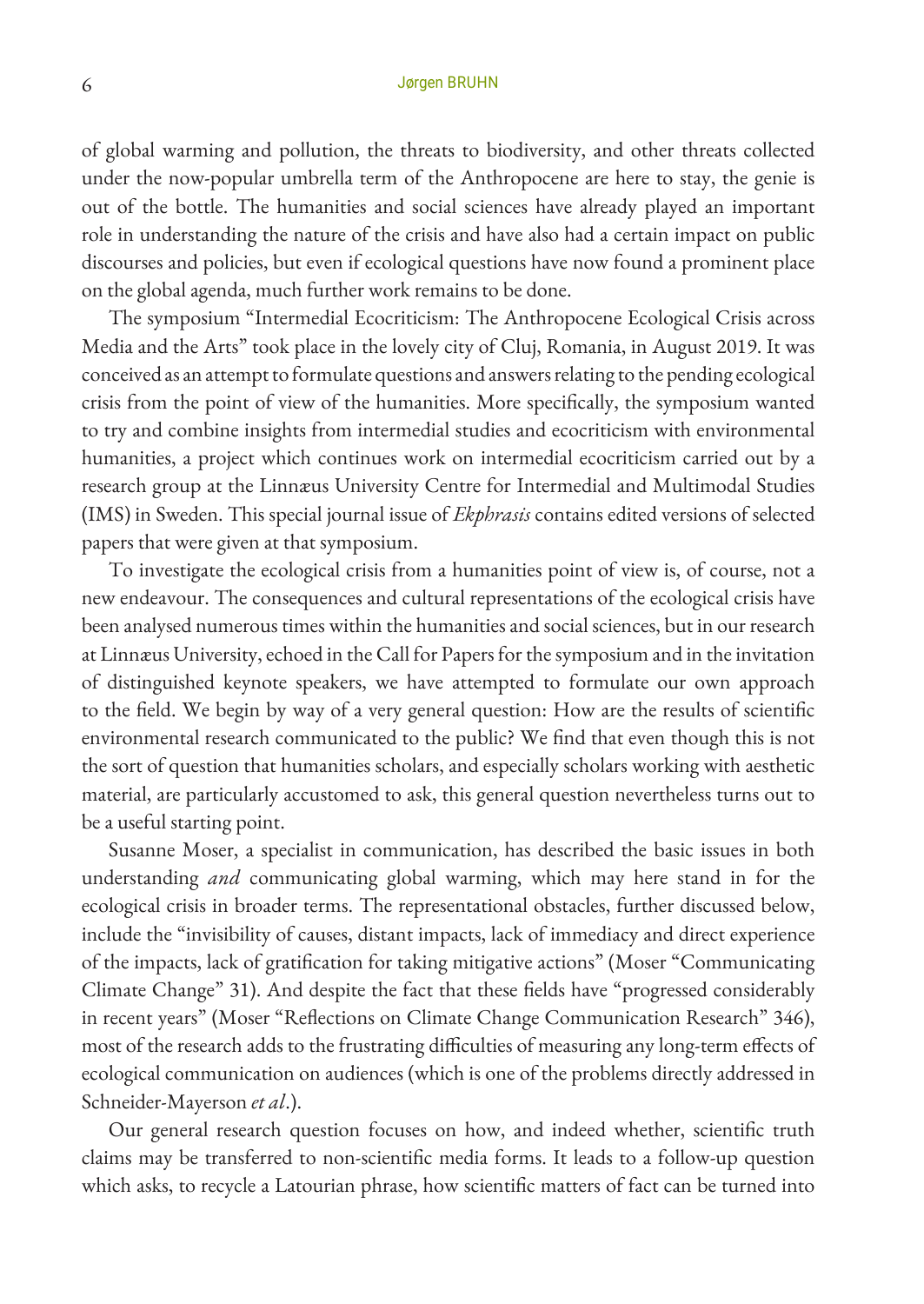of global warming and pollution, the threats to biodiversity, and other threats collected under the now-popular umbrella term of the Anthropocene are here to stay, the genie is out of the bottle. The humanities and social sciences have already played an important role in understanding the nature of the crisis and have also had a certain impact on public discourses and policies, but even if ecological questions have now found a prominent place on the global agenda, much further work remains to be done.

The symposium "Intermedial Ecocriticism: The Anthropocene Ecological Crisis across Media and the Arts" took place in the lovely city of Cluj, Romania, in August 2019. It was conceived as an attempt to formulate questions and answers relating to the pending ecological crisis from the point of view of the humanities. More specifically, the symposium wanted to try and combine insights from intermedial studies and ecocriticism with environmental humanities, a project which continues work on intermedial ecocriticism carried out by a research group at the Linnæus University Centre for Intermedial and Multimodal Studies (IMS) in Sweden. This special journal issue of *Ekphrasis* contains edited versions of selected papers that were given at that symposium.

To investigate the ecological crisis from a humanities point of view is, of course, not a new endeavour. The consequences and cultural representations of the ecological crisis have been analysed numerous times within the humanities and social sciences, but in our research at Linnæus University, echoed in the Call for Papers for the symposium and in the invitation of distinguished keynote speakers, we have attempted to formulate our own approach to the field. We begin by way of a very general question: How are the results of scientific environmental research communicated to the public? We find that even though this is not the sort of question that humanities scholars, and especially scholars working with aesthetic material, are particularly accustomed to ask, this general question nevertheless turns out to be a useful starting point.

Susanne Moser, a specialist in communication, has described the basic issues in both understanding *and* communicating global warming, which may here stand in for the ecological crisis in broader terms. The representational obstacles, further discussed below, include the "invisibility of causes, distant impacts, lack of immediacy and direct experience of the impacts, lack of gratification for taking mitigative actions" (Moser "Communicating Climate Change" 31). And despite the fact that these fields have "progressed considerably in recent years" (Moser "Reflections on Climate Change Communication Research" 346), most of the research adds to the frustrating difficulties of measuring any long-term effects of ecological communication on audiences (which is one of the problems directly addressed in Schneider-Mayerson *et al*.).

Our general research question focuses on how, and indeed whether, scientific truth claims may be transferred to non-scientific media forms. It leads to a follow-up question which asks, to recycle a Latourian phrase, how scientific matters of fact can be turned into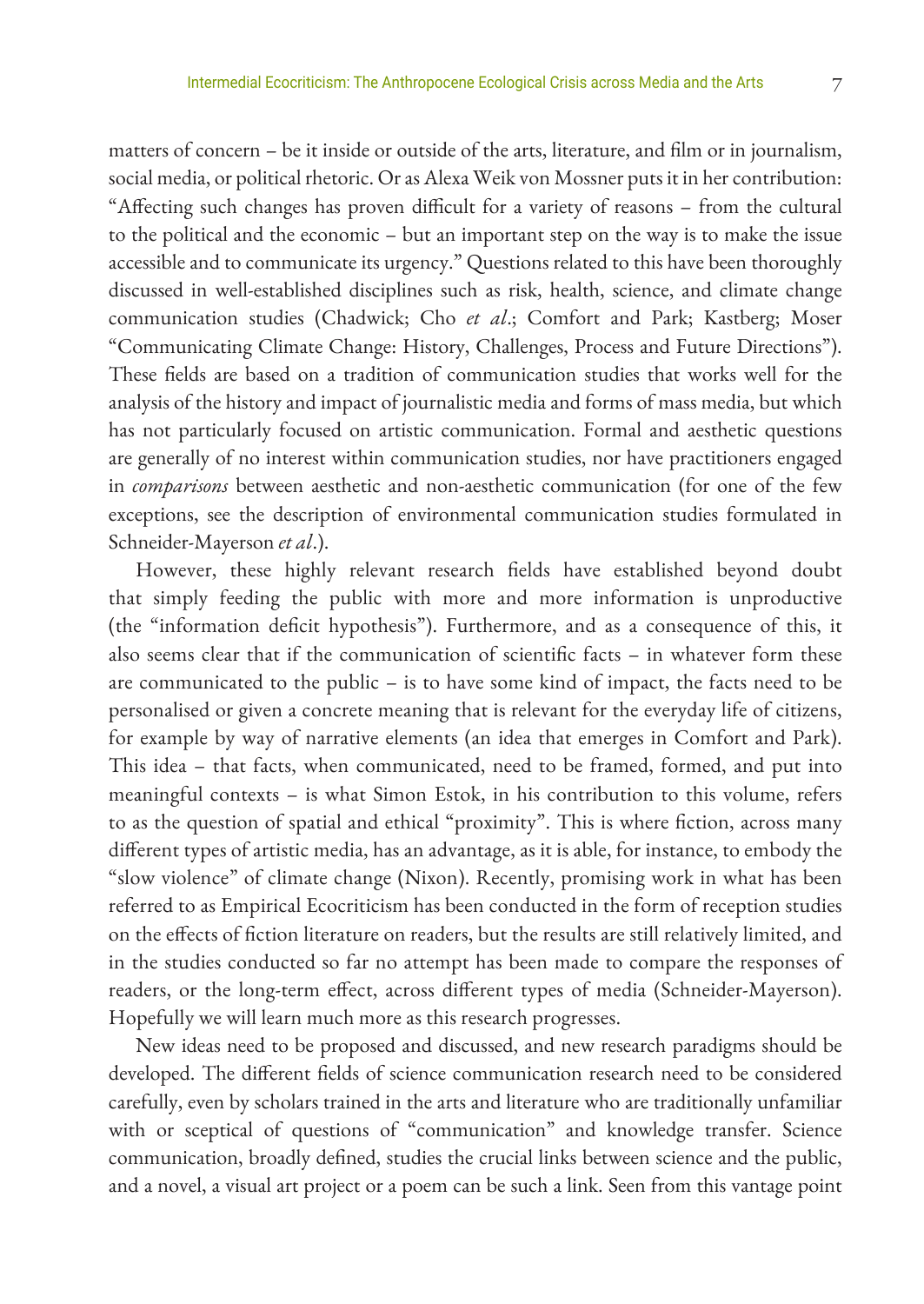matters of concern – be it inside or outside of the arts, literature, and film or in journalism, social media, or political rhetoric. Or as Alexa Weik von Mossner puts it in her contribution: "Affecting such changes has proven difficult for a variety of reasons – from the cultural to the political and the economic – but an important step on the way is to make the issue accessible and to communicate its urgency." Questions related to this have been thoroughly discussed in well-established disciplines such as risk, health, science, and climate change communication studies (Chadwick; Cho *et al*.; Comfort and Park; Kastberg; Moser "Communicating Climate Change: History, Challenges, Process and Future Directions"). These fields are based on a tradition of communication studies that works well for the analysis of the history and impact of journalistic media and forms of mass media, but which has not particularly focused on artistic communication. Formal and aesthetic questions are generally of no interest within communication studies, nor have practitioners engaged in *comparisons* between aesthetic and non-aesthetic communication (for one of the few exceptions, see the description of environmental communication studies formulated in Schneider-Mayerson *et al*.).

However, these highly relevant research fields have established beyond doubt that simply feeding the public with more and more information is unproductive (the "information deficit hypothesis"). Furthermore, and as a consequence of this, it also seems clear that if the communication of scientific facts – in whatever form these are communicated to the public – is to have some kind of impact, the facts need to be personalised or given a concrete meaning that is relevant for the everyday life of citizens, for example by way of narrative elements (an idea that emerges in Comfort and Park). This idea – that facts, when communicated, need to be framed, formed, and put into meaningful contexts – is what Simon Estok, in his contribution to this volume, refers to as the question of spatial and ethical "proximity". This is where fiction, across many different types of artistic media, has an advantage, as it is able, for instance, to embody the "slow violence" of climate change (Nixon). Recently, promising work in what has been referred to as Empirical Ecocriticism has been conducted in the form of reception studies on the effects of fiction literature on readers, but the results are still relatively limited, and in the studies conducted so far no attempt has been made to compare the responses of readers, or the long-term effect, across different types of media (Schneider-Mayerson). Hopefully we will learn much more as this research progresses.

New ideas need to be proposed and discussed, and new research paradigms should be developed. The different fields of science communication research need to be considered carefully, even by scholars trained in the arts and literature who are traditionally unfamiliar with or sceptical of questions of "communication" and knowledge transfer. Science communication, broadly defined, studies the crucial links between science and the public, and a novel, a visual art project or a poem can be such a link. Seen from this vantage point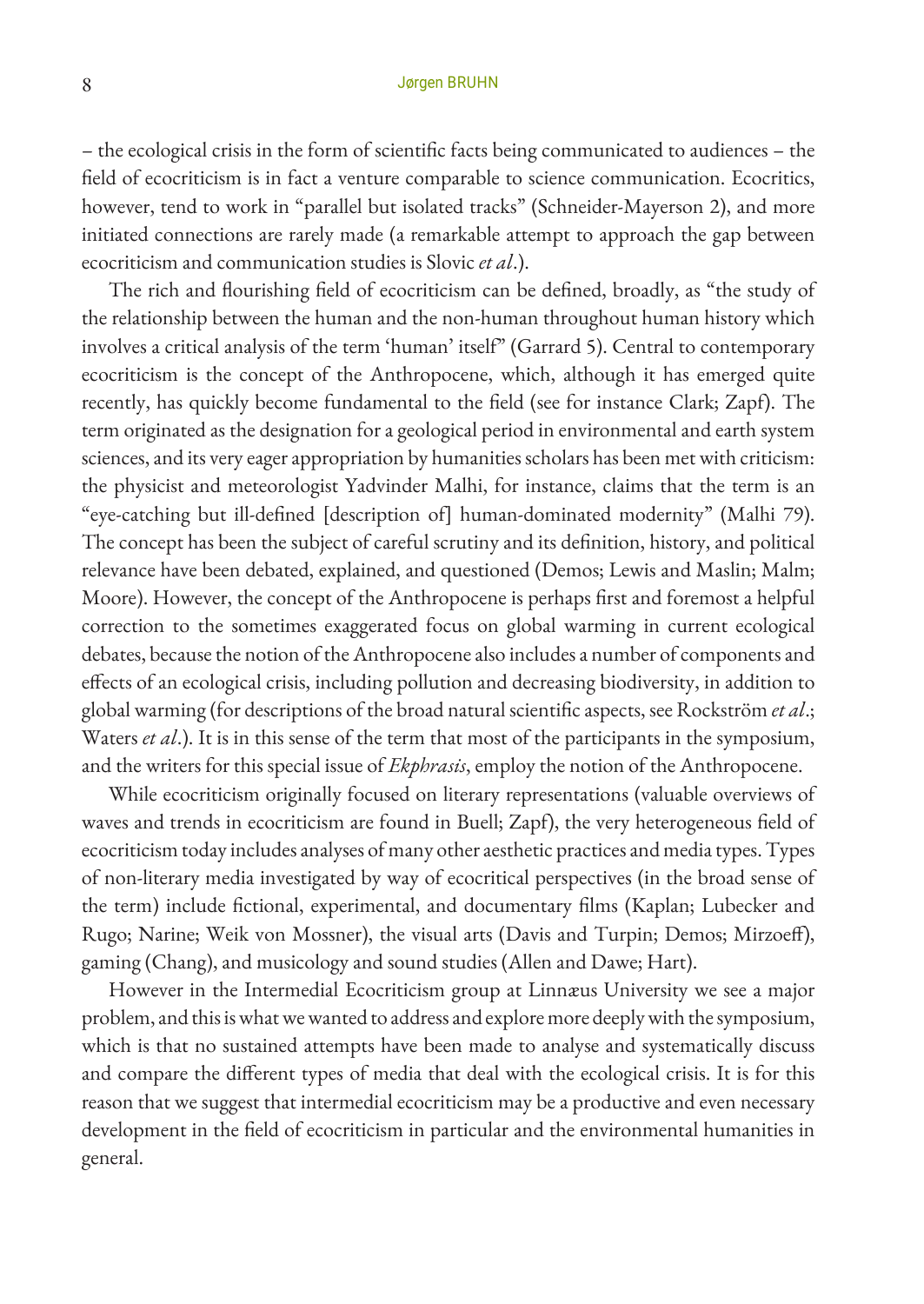– the ecological crisis in the form of scientific facts being communicated to audiences – the field of ecocriticism is in fact a venture comparable to science communication. Ecocritics, however, tend to work in "parallel but isolated tracks" (Schneider-Mayerson 2), and more initiated connections are rarely made (a remarkable attempt to approach the gap between ecocriticism and communication studies is Slovic *et al*.).

The rich and flourishing field of ecocriticism can be defined, broadly, as "the study of the relationship between the human and the non-human throughout human history which involves a critical analysis of the term 'human' itself" (Garrard 5). Central to contemporary ecocriticism is the concept of the Anthropocene, which, although it has emerged quite recently, has quickly become fundamental to the field (see for instance Clark; Zapf). The term originated as the designation for a geological period in environmental and earth system sciences, and its very eager appropriation by humanities scholars has been met with criticism: the physicist and meteorologist Yadvinder Malhi, for instance, claims that the term is an "eye-catching but ill-defined [description of] human-dominated modernity" (Malhi 79). The concept has been the subject of careful scrutiny and its definition, history, and political relevance have been debated, explained, and questioned (Demos; Lewis and Maslin; Malm; Moore). However, the concept of the Anthropocene is perhaps first and foremost a helpful correction to the sometimes exaggerated focus on global warming in current ecological debates, because the notion of the Anthropocene also includes a number of components and effects of an ecological crisis, including pollution and decreasing biodiversity, in addition to global warming (for descriptions of the broad natural scientific aspects, see Rockström *et al*.; Waters *et al*.). It is in this sense of the term that most of the participants in the symposium, and the writers for this special issue of *Ekphrasis*, employ the notion of the Anthropocene.

While ecocriticism originally focused on literary representations (valuable overviews of waves and trends in ecocriticism are found in Buell; Zapf), the very heterogeneous field of ecocriticism today includes analyses of many other aesthetic practices and media types. Types of non-literary media investigated by way of ecocritical perspectives (in the broad sense of the term) include fictional, experimental, and documentary films (Kaplan; Lubecker and Rugo; Narine; Weik von Mossner), the visual arts (Davis and Turpin; Demos; Mirzoeff), gaming (Chang), and musicology and sound studies (Allen and Dawe; Hart).

However in the Intermedial Ecocriticism group at Linnæus University we see a major problem, and this is what we wanted to address and explore more deeply with the symposium, which is that no sustained attempts have been made to analyse and systematically discuss and compare the different types of media that deal with the ecological crisis. It is for this reason that we suggest that intermedial ecocriticism may be a productive and even necessary development in the field of ecocriticism in particular and the environmental humanities in general.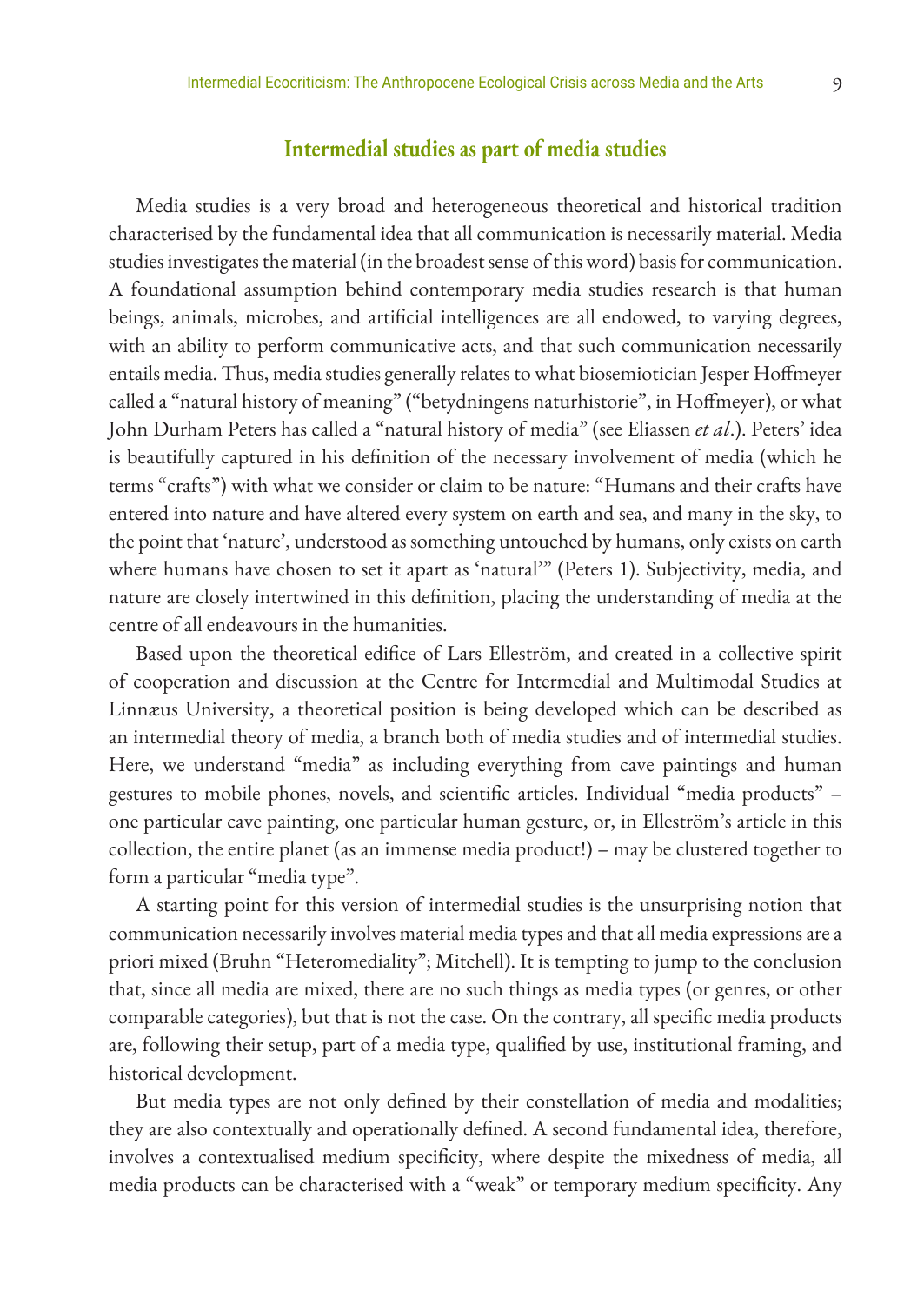## **Intermedial studies as part of media studies**

Media studies is a very broad and heterogeneous theoretical and historical tradition characterised by the fundamental idea that all communication is necessarily material. Media studies investigates the material (in the broadest sense of this word) basis for communication. A foundational assumption behind contemporary media studies research is that human beings, animals, microbes, and artificial intelligences are all endowed, to varying degrees, with an ability to perform communicative acts, and that such communication necessarily entails media. Thus, media studies generally relates to what biosemiotician Jesper Hoffmeyer called a "natural history of meaning" ("betydningens naturhistorie", in Hoffmeyer), or what John Durham Peters has called a "natural history of media" (see Eliassen *et al*.). Peters' idea is beautifully captured in his definition of the necessary involvement of media (which he terms "crafts") with what we consider or claim to be nature: "Humans and their crafts have entered into nature and have altered every system on earth and sea, and many in the sky, to the point that 'nature', understood as something untouched by humans, only exists on earth where humans have chosen to set it apart as 'natural'" (Peters 1). Subjectivity, media, and nature are closely intertwined in this definition, placing the understanding of media at the centre of all endeavours in the humanities.

Based upon the theoretical edifice of Lars Elleström, and created in a collective spirit of cooperation and discussion at the Centre for Intermedial and Multimodal Studies at Linnæus University, a theoretical position is being developed which can be described as an intermedial theory of media, a branch both of media studies and of intermedial studies. Here, we understand "media" as including everything from cave paintings and human gestures to mobile phones, novels, and scientific articles. Individual "media products" – one particular cave painting, one particular human gesture, or, in Elleström's article in this collection, the entire planet (as an immense media product!) – may be clustered together to form a particular "media type".

A starting point for this version of intermedial studies is the unsurprising notion that communication necessarily involves material media types and that all media expressions are a priori mixed (Bruhn "Heteromediality"; Mitchell). It is tempting to jump to the conclusion that, since all media are mixed, there are no such things as media types (or genres, or other comparable categories), but that is not the case. On the contrary, all specific media products are, following their setup, part of a media type, qualified by use, institutional framing, and historical development.

But media types are not only defined by their constellation of media and modalities; they are also contextually and operationally defined. A second fundamental idea, therefore, involves a contextualised medium specificity, where despite the mixedness of media, all media products can be characterised with a "weak" or temporary medium specificity. Any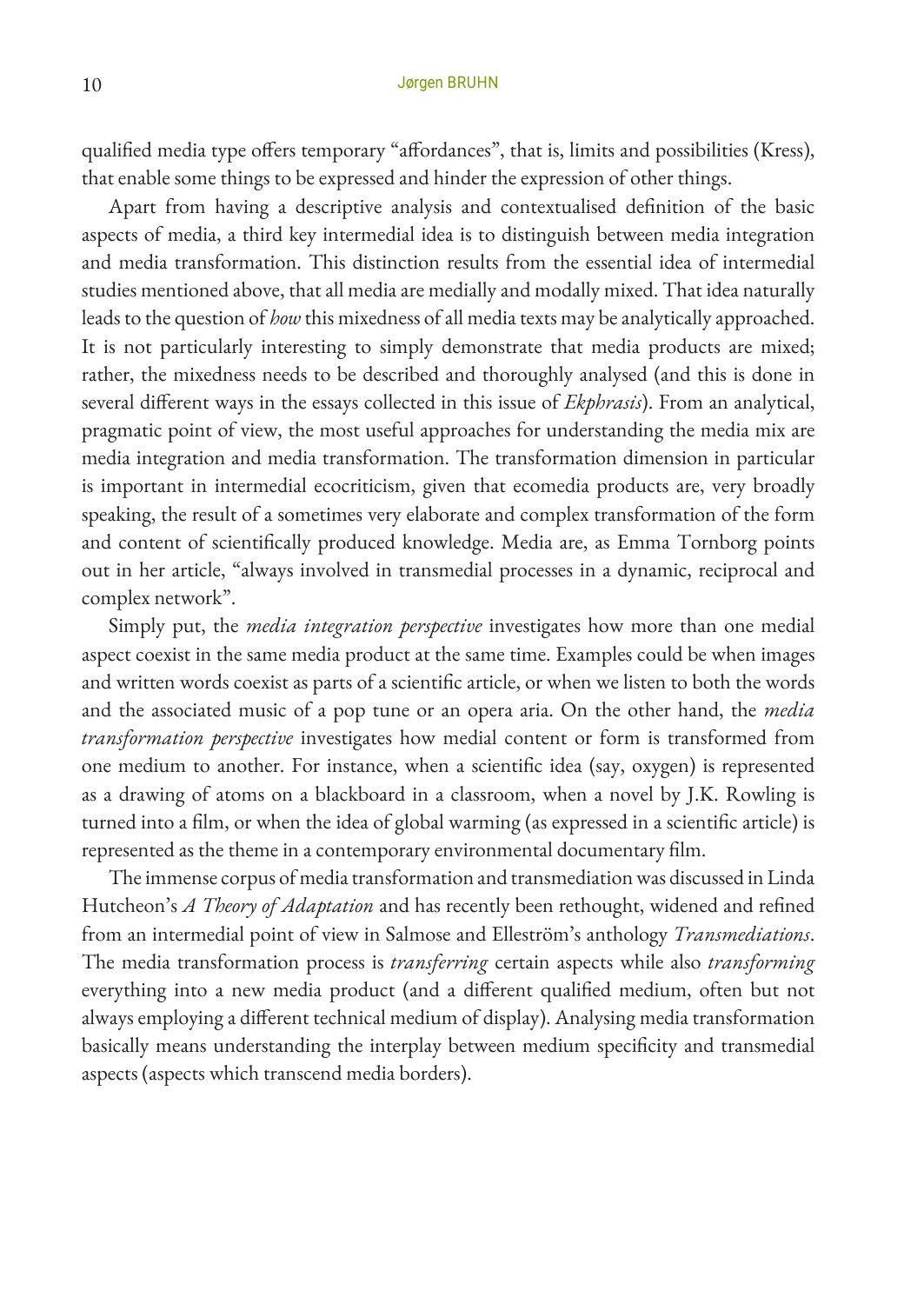qualified media type offers temporary "affordances", that is, limits and possibilities (Kress), that enable some things to be expressed and hinder the expression of other things.

Apart from having a descriptive analysis and contextualised definition of the basic aspects of media, a third key intermedial idea is to distinguish between media integration and media transformation. This distinction results from the essential idea of intermedial studies mentioned above, that all media are medially and modally mixed. That idea naturally leads to the question of *how* this mixedness of all media texts may be analytically approached. It is not particularly interesting to simply demonstrate that media products are mixed; rather, the mixedness needs to be described and thoroughly analysed (and this is done in several different ways in the essays collected in this issue of *Ekphrasis*). From an analytical, pragmatic point of view, the most useful approaches for understanding the media mix are media integration and media transformation. The transformation dimension in particular is important in intermedial ecocriticism, given that ecomedia products are, very broadly speaking, the result of a sometimes very elaborate and complex transformation of the form and content of scientifically produced knowledge. Media are, as Emma Tornborg points out in her article, "always involved in transmedial processes in a dynamic, reciprocal and complex network".

Simply put, the *media integration perspective* investigates how more than one medial aspect coexist in the same media product at the same time. Examples could be when images and written words coexist as parts of a scientific article, or when we listen to both the words and the associated music of a pop tune or an opera aria. On the other hand, the *media transformation perspective* investigates how medial content or form is transformed from one medium to another. For instance, when a scientific idea (say, oxygen) is represented as a drawing of atoms on a blackboard in a classroom, when a novel by J.K. Rowling is turned into a film, or when the idea of global warming (as expressed in a scientific article) is represented as the theme in a contemporary environmental documentary film.

The immense corpus of media transformation and transmediation was discussed in Linda Hutcheon's *A Theory of Adaptation* and has recently been rethought, widened and refined from an intermedial point of view in Salmose and Elleström's anthology *Transmediations*. The media transformation process is *transferring* certain aspects while also *transforming* everything into a new media product (and a different qualified medium, often but not always employing a different technical medium of display). Analysing media transformation basically means understanding the interplay between medium specificity and transmedial aspects (aspects which transcend media borders).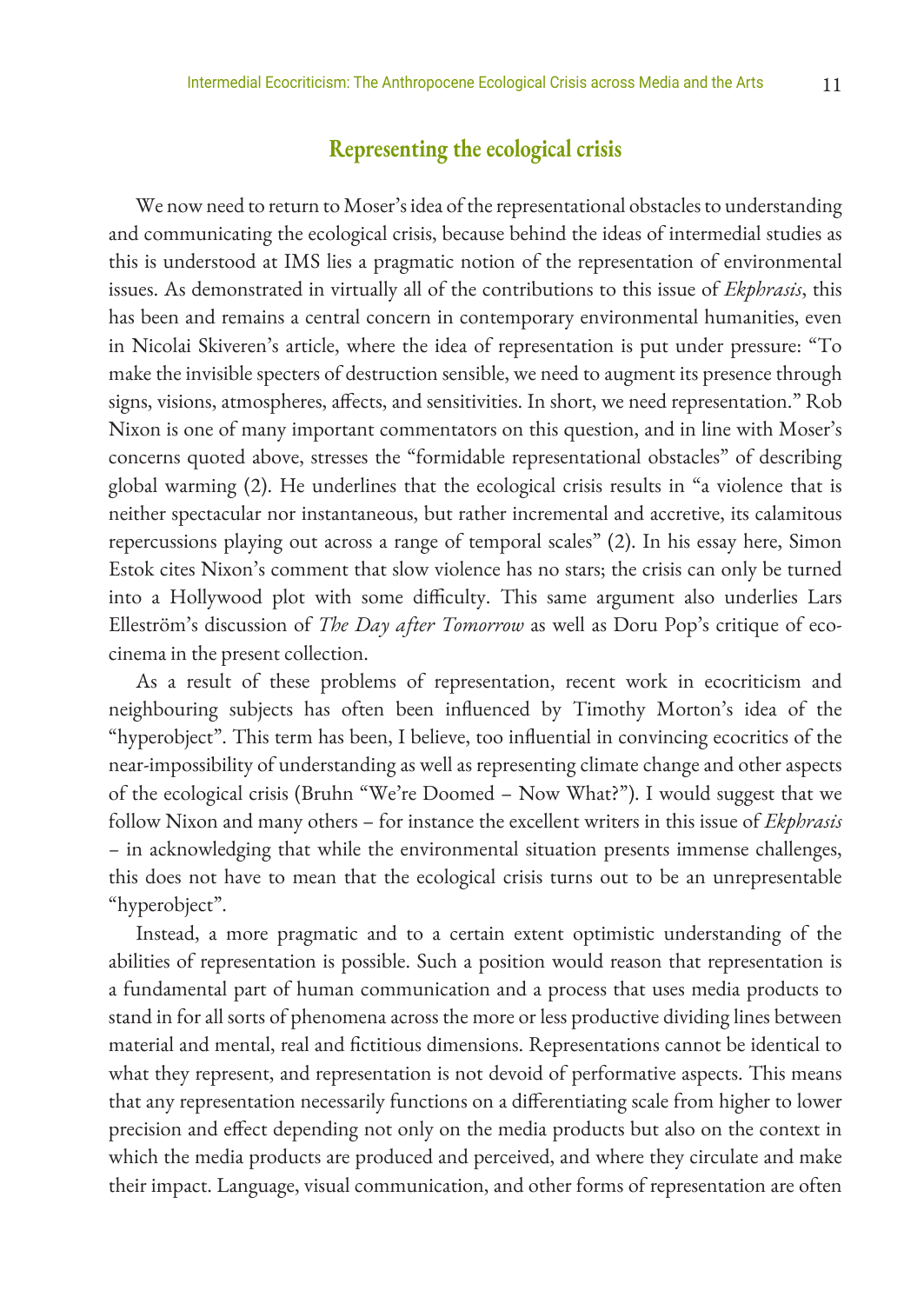## **Representing the ecological crisis**

We now need to return to Moser's idea of the representational obstacles to understanding and communicating the ecological crisis, because behind the ideas of intermedial studies as this is understood at IMS lies a pragmatic notion of the representation of environmental issues. As demonstrated in virtually all of the contributions to this issue of *Ekphrasis*, this has been and remains a central concern in contemporary environmental humanities, even in Nicolai Skiveren's article, where the idea of representation is put under pressure: "To make the invisible specters of destruction sensible, we need to augment its presence through signs, visions, atmospheres, affects, and sensitivities. In short, we need representation." Rob Nixon is one of many important commentators on this question, and in line with Moser's concerns quoted above, stresses the "formidable representational obstacles" of describing global warming (2). He underlines that the ecological crisis results in "a violence that is neither spectacular nor instantaneous, but rather incremental and accretive, its calamitous repercussions playing out across a range of temporal scales" (2). In his essay here, Simon Estok cites Nixon's comment that slow violence has no stars; the crisis can only be turned into a Hollywood plot with some difficulty. This same argument also underlies Lars Elleström's discussion of *The Day after Tomorrow* as well as Doru Pop's critique of ecocinema in the present collection.

As a result of these problems of representation, recent work in ecocriticism and neighbouring subjects has often been influenced by Timothy Morton's idea of the "hyperobject". This term has been, I believe, too influential in convincing ecocritics of the near-impossibility of understanding as well as representing climate change and other aspects of the ecological crisis (Bruhn "We're Doomed – Now What?"). I would suggest that we follow Nixon and many others – for instance the excellent writers in this issue of *Ekphrasis –* in acknowledging that while the environmental situation presents immense challenges, this does not have to mean that the ecological crisis turns out to be an unrepresentable "hyperobject".

Instead, a more pragmatic and to a certain extent optimistic understanding of the abilities of representation is possible. Such a position would reason that representation is a fundamental part of human communication and a process that uses media products to stand in for all sorts of phenomena across the more or less productive dividing lines between material and mental, real and fictitious dimensions. Representations cannot be identical to what they represent, and representation is not devoid of performative aspects. This means that any representation necessarily functions on a differentiating scale from higher to lower precision and effect depending not only on the media products but also on the context in which the media products are produced and perceived, and where they circulate and make their impact. Language, visual communication, and other forms of representation are often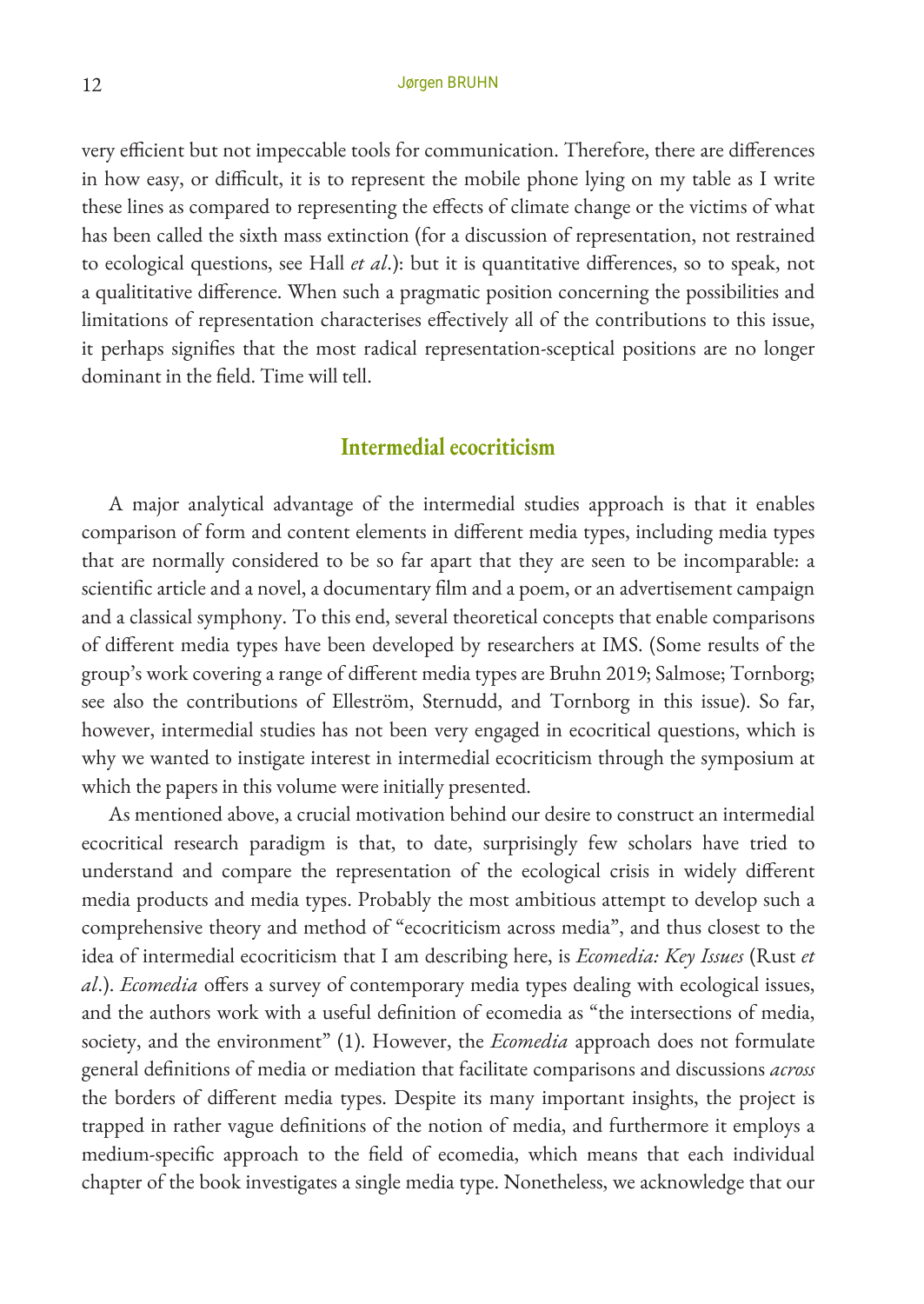very efficient but not impeccable tools for communication. Therefore, there are differences in how easy, or difficult, it is to represent the mobile phone lying on my table as I write these lines as compared to representing the effects of climate change or the victims of what has been called the sixth mass extinction (for a discussion of representation, not restrained to ecological questions, see Hall *et al*.): but it is quantitative differences, so to speak, not a qualititative difference. When such a pragmatic position concerning the possibilities and limitations of representation characterises effectively all of the contributions to this issue, it perhaps signifies that the most radical representation-sceptical positions are no longer dominant in the field. Time will tell.

## **Intermedial ecocriticism**

A major analytical advantage of the intermedial studies approach is that it enables comparison of form and content elements in different media types, including media types that are normally considered to be so far apart that they are seen to be incomparable: a scientific article and a novel, a documentary film and a poem, or an advertisement campaign and a classical symphony. To this end, several theoretical concepts that enable comparisons of different media types have been developed by researchers at IMS. (Some results of the group's work covering a range of different media types are Bruhn 2019; Salmose; Tornborg; see also the contributions of Elleström, Sternudd, and Tornborg in this issue). So far, however, intermedial studies has not been very engaged in ecocritical questions, which is why we wanted to instigate interest in intermedial ecocriticism through the symposium at which the papers in this volume were initially presented.

As mentioned above, a crucial motivation behind our desire to construct an intermedial ecocritical research paradigm is that, to date, surprisingly few scholars have tried to understand and compare the representation of the ecological crisis in widely different media products and media types. Probably the most ambitious attempt to develop such a comprehensive theory and method of "ecocriticism across media", and thus closest to the idea of intermedial ecocriticism that I am describing here, is *Ecomedia: Key Issues* (Rust *et al*.). *Ecomedia* offers a survey of contemporary media types dealing with ecological issues, and the authors work with a useful definition of ecomedia as "the intersections of media, society, and the environment" (1). However, the *Ecomedia* approach does not formulate general definitions of media or mediation that facilitate comparisons and discussions *across* the borders of different media types. Despite its many important insights, the project is trapped in rather vague definitions of the notion of media, and furthermore it employs a medium-specific approach to the field of ecomedia, which means that each individual chapter of the book investigates a single media type. Nonetheless, we acknowledge that our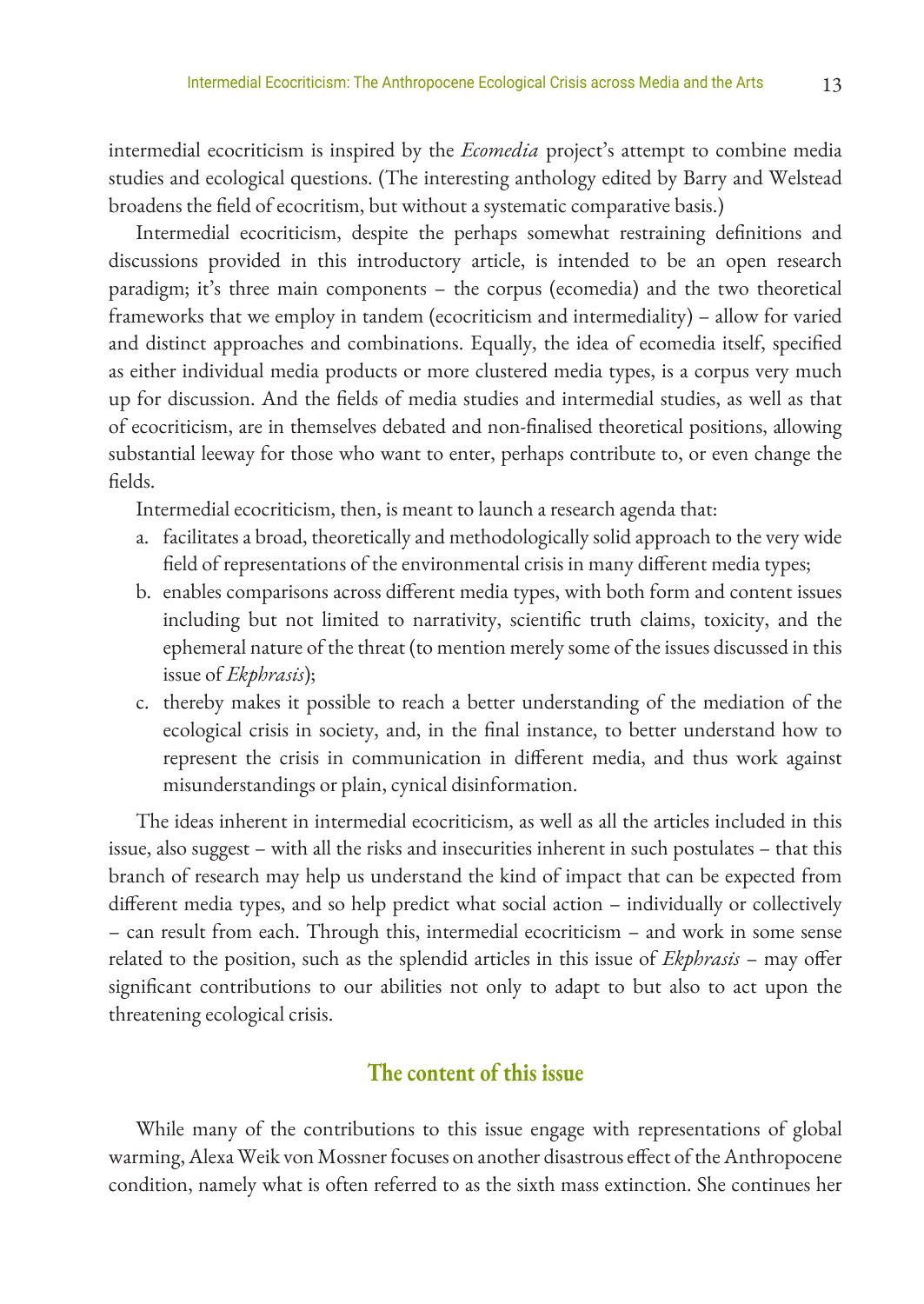intermedial ecocriticism is inspired by the *Ecomedia* project's attempt to combine media studies and ecological questions. (The interesting anthology edited by Barry and Welstead broadens the field of ecocritism, but without a systematic comparative basis.)

Intermedial ecocriticism, despite the perhaps somewhat restraining definitions and discussions provided in this introductory article, is intended to be an open research paradigm; it's three main components – the corpus (ecomedia) and the two theoretical frameworks that we employ in tandem (ecocriticism and intermediality) – allow for varied and distinct approaches and combinations. Equally, the idea of ecomedia itself, specified as either individual media products or more clustered media types, is a corpus very much up for discussion. And the fields of media studies and intermedial studies, as well as that of ecocriticism, are in themselves debated and non-finalised theoretical positions, allowing substantial leeway for those who want to enter, perhaps contribute to, or even change the fields.

Intermedial ecocriticism, then, is meant to launch a research agenda that:

- a. facilitates a broad, theoretically and methodologically solid approach to the very wide field of representations of the environmental crisis in many different media types;
- b. enables comparisons across different media types, with both form and content issues including but not limited to narrativity, scientific truth claims, toxicity, and the ephemeral nature of the threat (to mention merely some of the issues discussed in this issue of *Ekphrasis*);
- c. thereby makes it possible to reach a better understanding of the mediation of the ecological crisis in society, and, in the final instance, to better understand how to represent the crisis in communication in different media, and thus work against misunderstandings or plain, cynical disinformation.

The ideas inherent in intermedial ecocriticism, as well as all the articles included in this issue, also suggest – with all the risks and insecurities inherent in such postulates – that this branch of research may help us understand the kind of impact that can be expected from different media types, and so help predict what social action – individually or collectively – can result from each. Through this, intermedial ecocriticism – and work in some sense related to the position, such as the splendid articles in this issue of *Ekphrasis* – may offer significant contributions to our abilities not only to adapt to but also to act upon the threatening ecological crisis.

## **The content of this issue**

While many of the contributions to this issue engage with representations of global warming, Alexa Weik von Mossner focuses on another disastrous effect of the Anthropocene condition, namely what is often referred to as the sixth mass extinction. She continues her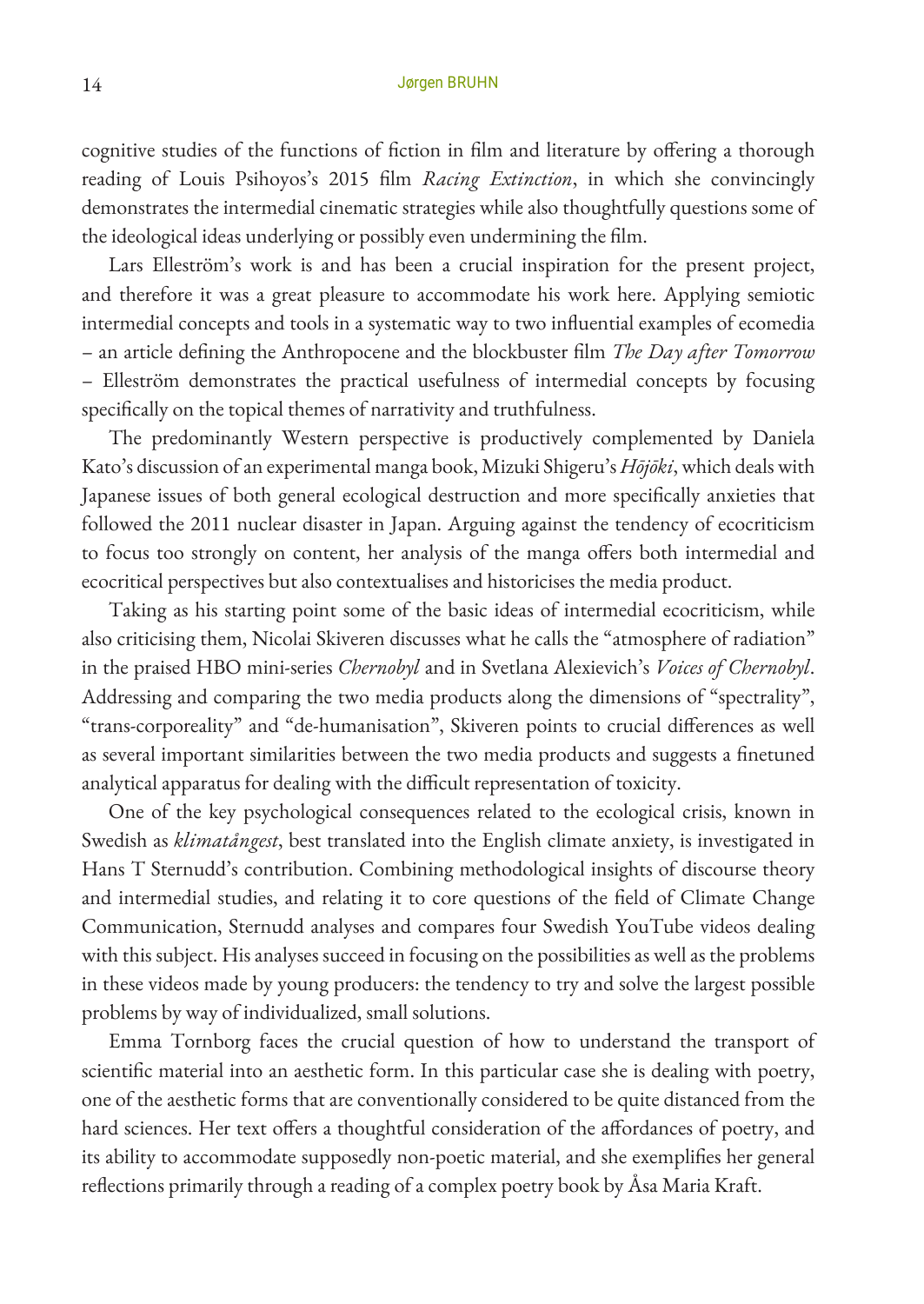cognitive studies of the functions of fiction in film and literature by offering a thorough reading of Louis Psihoyos's 2015 film *Racing Extinction*, in which she convincingly demonstrates the intermedial cinematic strategies while also thoughtfully questions some of the ideological ideas underlying or possibly even undermining the film.

Lars Elleström's work is and has been a crucial inspiration for the present project, and therefore it was a great pleasure to accommodate his work here. Applying semiotic intermedial concepts and tools in a systematic way to two influential examples of ecomedia – an article defining the Anthropocene and the blockbuster film *The Day after Tomorrow* – Elleström demonstrates the practical usefulness of intermedial concepts by focusing specifically on the topical themes of narrativity and truthfulness.

The predominantly Western perspective is productively complemented by Daniela Kato's discussion of an experimental manga book, Mizuki Shigeru's *Hōjōki*, which deals with Japanese issues of both general ecological destruction and more specifically anxieties that followed the 2011 nuclear disaster in Japan. Arguing against the tendency of ecocriticism to focus too strongly on content, her analysis of the manga offers both intermedial and ecocritical perspectives but also contextualises and historicises the media product.

Taking as his starting point some of the basic ideas of intermedial ecocriticism, while also criticising them, Nicolai Skiveren discusses what he calls the "atmosphere of radiation" in the praised HBO mini-series *Chernobyl* and in Svetlana Alexievich's *Voices of Chernobyl*. Addressing and comparing the two media products along the dimensions of "spectrality", "trans-corporeality" and "de-humanisation", Skiveren points to crucial differences as well as several important similarities between the two media products and suggests a finetuned analytical apparatus for dealing with the difficult representation of toxicity.

One of the key psychological consequences related to the ecological crisis, known in Swedish as *klimatångest*, best translated into the English climate anxiety, is investigated in Hans T Sternudd's contribution. Combining methodological insights of discourse theory and intermedial studies, and relating it to core questions of the field of Climate Change Communication, Sternudd analyses and compares four Swedish YouTube videos dealing with this subject. His analyses succeed in focusing on the possibilities as well as the problems in these videos made by young producers: the tendency to try and solve the largest possible problems by way of individualized, small solutions.

Emma Tornborg faces the crucial question of how to understand the transport of scientific material into an aesthetic form. In this particular case she is dealing with poetry, one of the aesthetic forms that are conventionally considered to be quite distanced from the hard sciences. Her text offers a thoughtful consideration of the affordances of poetry, and its ability to accommodate supposedly non-poetic material, and she exemplifies her general reflections primarily through a reading of a complex poetry book by Åsa Maria Kraft.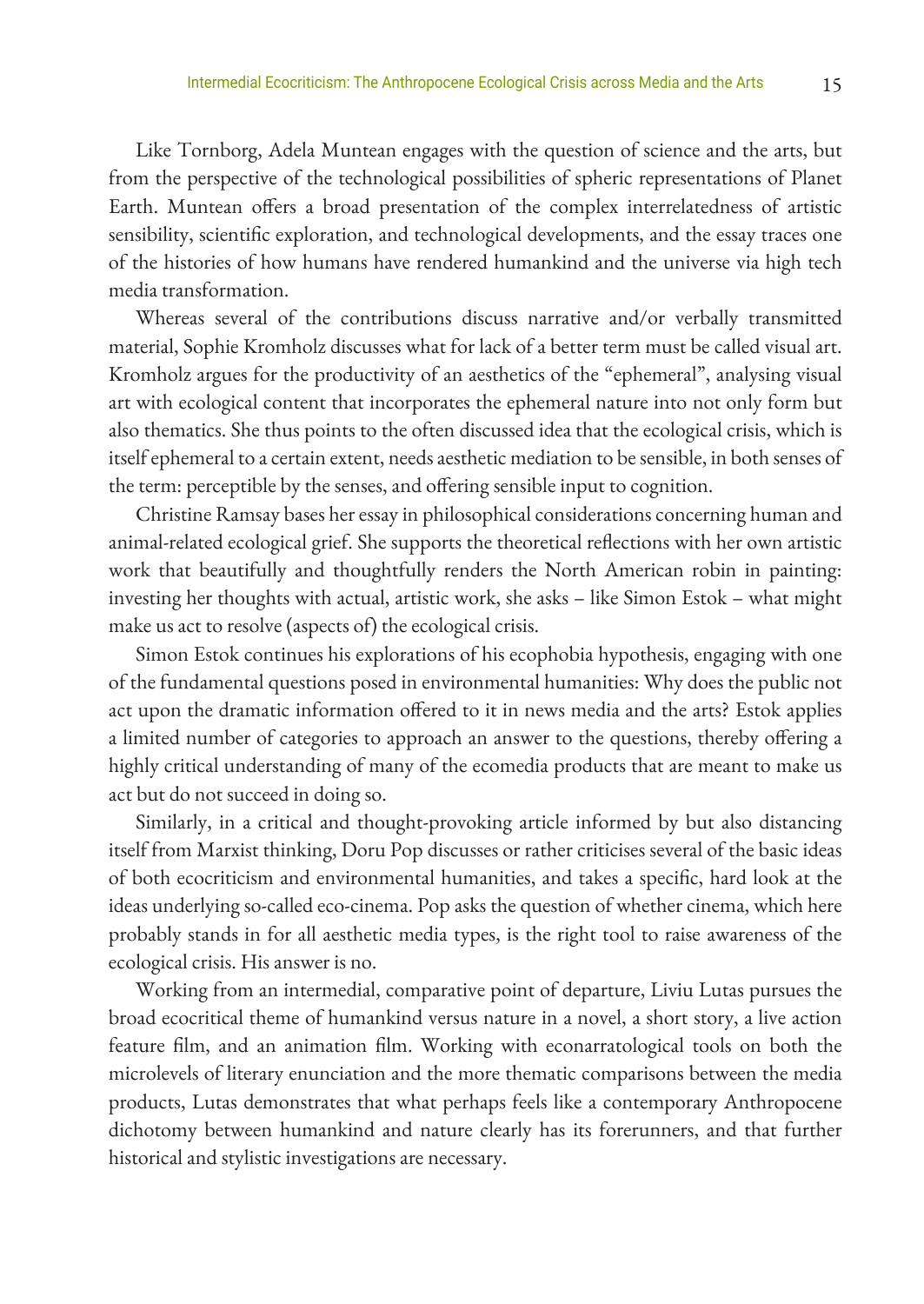Like Tornborg, Adela Muntean engages with the question of science and the arts, but from the perspective of the technological possibilities of spheric representations of Planet Earth. Muntean offers a broad presentation of the complex interrelatedness of artistic sensibility, scientific exploration, and technological developments, and the essay traces one of the histories of how humans have rendered humankind and the universe via high tech media transformation.

Whereas several of the contributions discuss narrative and/or verbally transmitted material, Sophie Kromholz discusses what for lack of a better term must be called visual art. Kromholz argues for the productivity of an aesthetics of the "ephemeral", analysing visual art with ecological content that incorporates the ephemeral nature into not only form but also thematics. She thus points to the often discussed idea that the ecological crisis, which is itself ephemeral to a certain extent, needs aesthetic mediation to be sensible, in both senses of the term: perceptible by the senses, and offering sensible input to cognition.

Christine Ramsay bases her essay in philosophical considerations concerning human and animal-related ecological grief. She supports the theoretical reflections with her own artistic work that beautifully and thoughtfully renders the North American robin in painting: investing her thoughts with actual, artistic work, she asks – like Simon Estok – what might make us act to resolve (aspects of) the ecological crisis.

Simon Estok continues his explorations of his ecophobia hypothesis, engaging with one of the fundamental questions posed in environmental humanities: Why does the public not act upon the dramatic information offered to it in news media and the arts? Estok applies a limited number of categories to approach an answer to the questions, thereby offering a highly critical understanding of many of the ecomedia products that are meant to make us act but do not succeed in doing so.

Similarly, in a critical and thought-provoking article informed by but also distancing itself from Marxist thinking, Doru Pop discusses or rather criticises several of the basic ideas of both ecocriticism and environmental humanities, and takes a specific, hard look at the ideas underlying so-called eco-cinema. Pop asks the question of whether cinema, which here probably stands in for all aesthetic media types, is the right tool to raise awareness of the ecological crisis. His answer is no.

Working from an intermedial, comparative point of departure, Liviu Lutas pursues the broad ecocritical theme of humankind versus nature in a novel, a short story, a live action feature film, and an animation film. Working with econarratological tools on both the microlevels of literary enunciation and the more thematic comparisons between the media products, Lutas demonstrates that what perhaps feels like a contemporary Anthropocene dichotomy between humankind and nature clearly has its forerunners, and that further historical and stylistic investigations are necessary.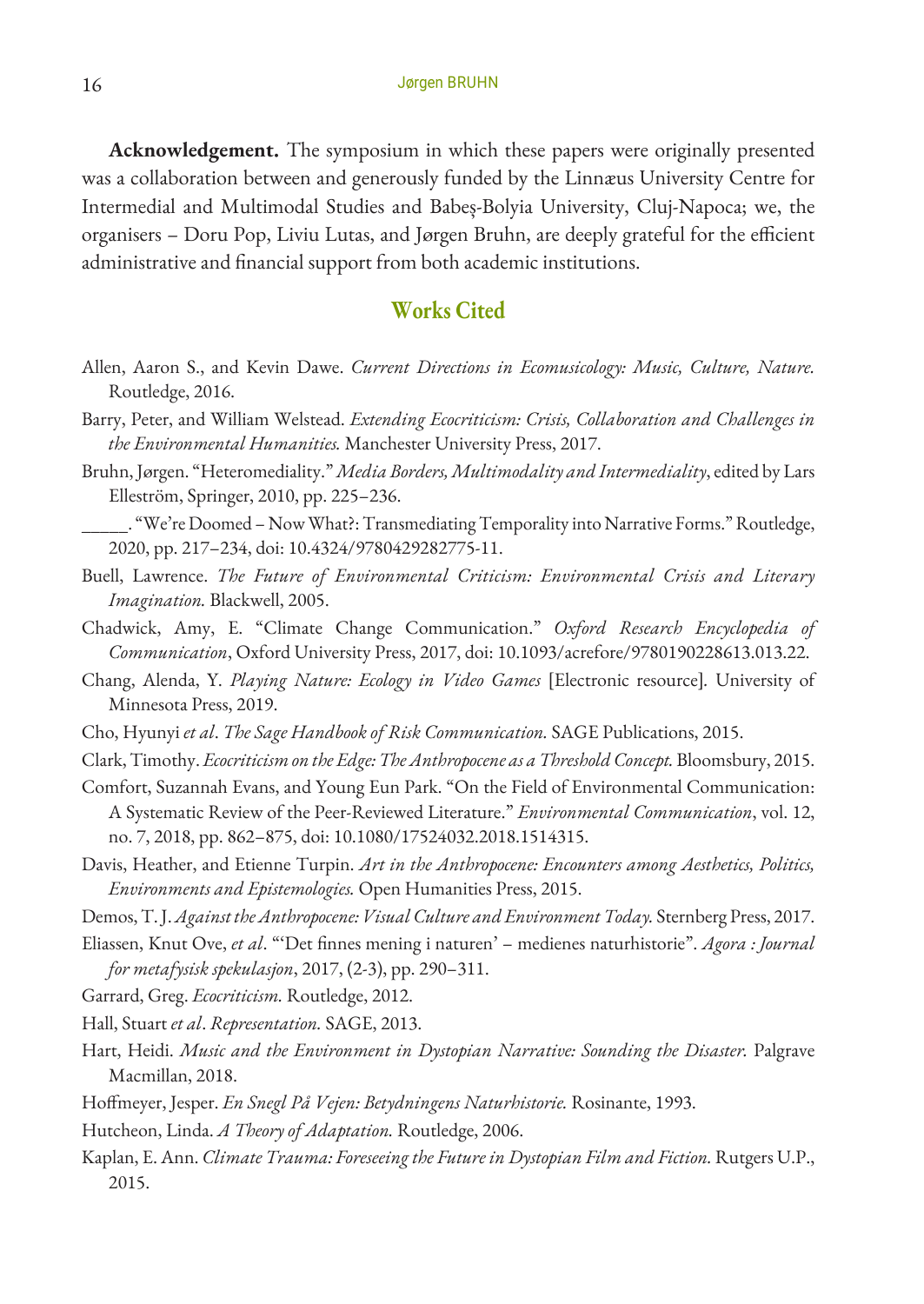**Acknowledgement.** The symposium in which these papers were originally presented was a collaboration between and generously funded by the Linnæus University Centre for Intermedial and Multimodal Studies and Babeș-Bolyia University, Cluj-Napoca; we, the organisers – Doru Pop, Liviu Lutas, and Jørgen Bruhn, are deeply grateful for the efficient administrative and financial support from both academic institutions.

## **Works Cited**

- Allen, Aaron S., and Kevin Dawe. *Current Directions in Ecomusicology: Music, Culture, Nature.* Routledge, 2016.
- Barry, Peter, and William Welstead. *Extending Ecocriticism: Crisis, Collaboration and Challenges in the Environmental Humanities.* Manchester University Press, 2017.
- Bruhn, Jørgen. "Heteromediality." *Media Borders, Multimodality and Intermediality*, edited by Lars Elleström, Springer, 2010, pp. 225–236.
- \_\_\_\_\_. "We're Doomed Now What?: Transmediating Temporality into Narrative Forms." Routledge, 2020, pp. 217–234, doi: 10.4324/9780429282775-11.
- Buell, Lawrence. *The Future of Environmental Criticism: Environmental Crisis and Literary Imagination.* Blackwell, 2005.
- Chadwick, Amy, E. "Climate Change Communication." *Oxford Research Encyclopedia of Communication*, Oxford University Press, 2017, doi: 10.1093/acrefore/9780190228613.013.22.
- Chang, Alenda, Y. *Playing Nature: Ecology in Video Games* [Electronic resource]*.* University of Minnesota Press, 2019.
- Cho, Hyunyi *et al*. *The Sage Handbook of Risk Communication.* SAGE Publications, 2015.
- Clark, Timothy. *Ecocriticism on the Edge: The Anthropocene as a Threshold Concept.* Bloomsbury, 2015.
- Comfort, Suzannah Evans, and Young Eun Park. "On the Field of Environmental Communication: A Systematic Review of the Peer-Reviewed Literature." *Environmental Communication*, vol. 12, no. 7, 2018, pp. 862–875, doi: 10.1080/17524032.2018.1514315.
- Davis, Heather, and Etienne Turpin. *Art in the Anthropocene: Encounters among Aesthetics, Politics, Environments and Epistemologies.* Open Humanities Press, 2015.

Demos, T. J. *Against the Anthropocene: Visual Culture and Environment Today.* Sternberg Press, 2017.

Eliassen, Knut Ove, *et al*. "'Det finnes mening i naturen' – medienes naturhistorie". *Agora : Journal for metafysisk spekulasjon*, 2017, (2-3), pp. 290–311.

Garrard, Greg. *Ecocriticism.* Routledge, 2012.

- Hall, Stuart *et al*. *Representation.* SAGE, 2013.
- Hart, Heidi. *Music and the Environment in Dystopian Narrative: Sounding the Disaster.* Palgrave Macmillan, 2018.
- Hoffmeyer, Jesper. *En Snegl På Vejen: Betydningens Naturhistorie.* Rosinante, 1993.
- Hutcheon, Linda. *A Theory of Adaptation.* Routledge, 2006.
- Kaplan, E. Ann. *Climate Trauma: Foreseeing the Future in Dystopian Film and Fiction*. Rutgers U.P., 2015.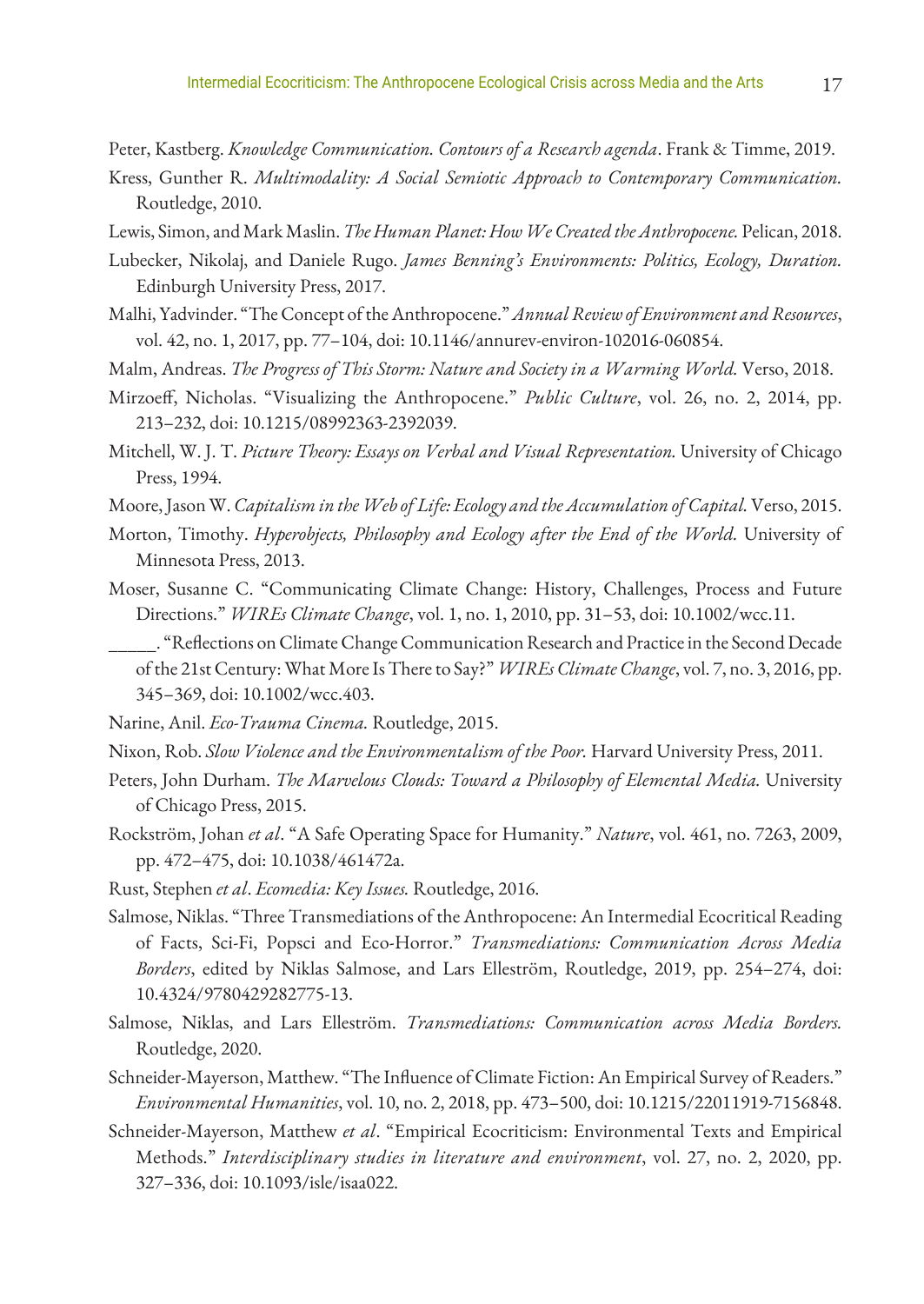Peter, Kastberg. *Knowledge Communication. Contours of a Research agenda*. Frank & Timme, 2019.

- Kress, Gunther R. *Multimodality: A Social Semiotic Approach to Contemporary Communication.* Routledge, 2010.
- Lewis, Simon, and Mark Maslin. *The Human Planet: How We Created the Anthropocene.* Pelican, 2018.
- Lubecker, Nikolaj, and Daniele Rugo. *James Benning's Environments: Politics, Ecology, Duration.* Edinburgh University Press, 2017.
- Malhi, Yadvinder. "The Concept of the Anthropocene." *Annual Review of Environment and Resources*, vol. 42, no. 1, 2017, pp. 77–104, doi: 10.1146/annurev-environ-102016-060854.
- Malm, Andreas. *The Progress of This Storm: Nature and Society in a Warming World.* Verso, 2018.
- Mirzoeff, Nicholas. "Visualizing the Anthropocene." *Public Culture*, vol. 26, no. 2, 2014, pp. 213–232, doi: 10.1215/08992363-2392039.
- Mitchell, W. J. T. *Picture Theory: Essays on Verbal and Visual Representation.* University of Chicago Press, 1994.
- Moore, Jason W. *Capitalism in the Web of Life: Ecology and the Accumulation of Capital.* Verso, 2015.
- Morton, Timothy. *Hyperobjects, Philosophy and Ecology after the End of the World.* University of Minnesota Press, 2013.
- Moser, Susanne C. "Communicating Climate Change: History, Challenges, Process and Future Directions." *WIREs Climate Change*, vol. 1, no. 1, 2010, pp. 31–53, doi: 10.1002/wcc.11.
	- \_\_\_\_\_. "Reflections on Climate Change Communication Research and Practice in the Second Decade of the 21st Century: What More Is There to Say?" *WIREs Climate Change*, vol. 7, no. 3, 2016, pp. 345–369, doi: 10.1002/wcc.403.
- Narine, Anil. *Eco-Trauma Cinema.* Routledge, 2015.
- Nixon, Rob. *Slow Violence and the Environmentalism of the Poor.* Harvard University Press, 2011.
- Peters, John Durham. *The Marvelous Clouds: Toward a Philosophy of Elemental Media.* University of Chicago Press, 2015.
- Rockström, Johan *et al*. "A Safe Operating Space for Humanity." *Nature*, vol. 461, no. 7263, 2009, pp. 472–475, doi: 10.1038/461472a.
- Rust, Stephen *et al*. *Ecomedia: Key Issues.* Routledge, 2016.
- Salmose, Niklas. "Three Transmediations of the Anthropocene: An Intermedial Ecocritical Reading of Facts, Sci-Fi, Popsci and Eco-Horror." *Transmediations: Communication Across Media Borders*, edited by Niklas Salmose, and Lars Elleström, Routledge, 2019, pp. 254–274, doi: 10.4324/9780429282775-13.
- Salmose, Niklas, and Lars Elleström. *Transmediations: Communication across Media Borders.* Routledge, 2020.
- Schneider-Mayerson, Matthew. "The Influence of Climate Fiction: An Empirical Survey of Readers." *Environmental Humanities*, vol. 10, no. 2, 2018, pp. 473–500, doi: 10.1215/22011919-7156848.
- Schneider-Mayerson, Matthew *et al*. "Empirical Ecocriticism: Environmental Texts and Empirical Methods." *Interdisciplinary studies in literature and environment*, vol. 27, no. 2, 2020, pp. 327–336, doi: 10.1093/isle/isaa022.